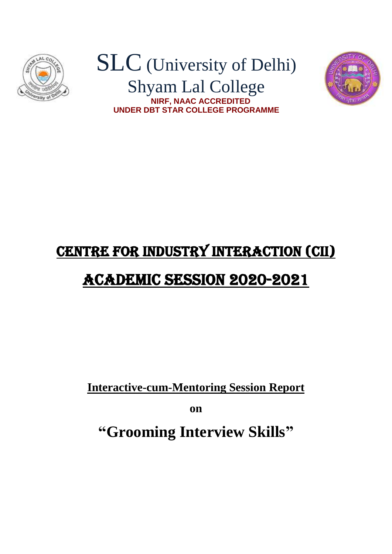

### SLC (University of Delhi) Shyam Lal College  **NIRF, NAAC ACCREDITED UNDER DBT STAR COLLEGE PROGRAMME**



# CENTRE FOR INDUSTRY INTERACTION (CII)

## Academic Session 2020-2021

**Interactive-cum-Mentoring Session Report** 

**on**

**"Grooming Interview Skills"**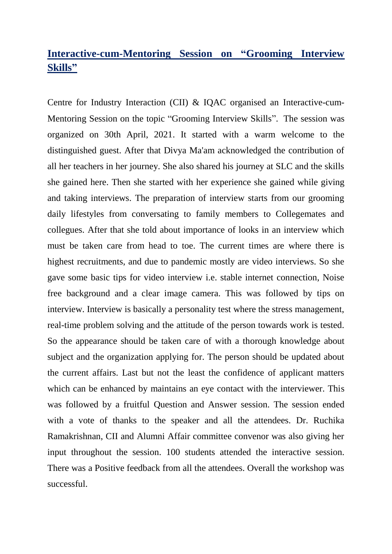### **Interactive-cum-Mentoring Session on "Grooming Interview Skills"**

Centre for Industry Interaction (CII) & IQAC organised an Interactive-cum-Mentoring Session on the topic "Grooming Interview Skills". The session was organized on 30th April, 2021. It started with a warm welcome to the distinguished guest. After that Divya Ma'am acknowledged the contribution of all her teachers in her journey. She also shared his journey at SLC and the skills she gained here. Then she started with her experience she gained while giving and taking interviews. The preparation of interview starts from our grooming daily lifestyles from conversating to family members to Collegemates and collegues. After that she told about importance of looks in an interview which must be taken care from head to toe. The current times are where there is highest recruitments, and due to pandemic mostly are video interviews. So she gave some basic tips for video interview i.e. stable internet connection, Noise free background and a clear image camera. This was followed by tips on interview. Interview is basically a personality test where the stress management, real-time problem solving and the attitude of the person towards work is tested. So the appearance should be taken care of with a thorough knowledge about subject and the organization applying for. The person should be updated about the current affairs. Last but not the least the confidence of applicant matters which can be enhanced by maintains an eye contact with the interviewer. This was followed by a fruitful Question and Answer session. The session ended with a vote of thanks to the speaker and all the attendees. Dr. Ruchika Ramakrishnan, CII and Alumni Affair committee convenor was also giving her input throughout the session. 100 students attended the interactive session. There was a Positive feedback from all the attendees. Overall the workshop was successful.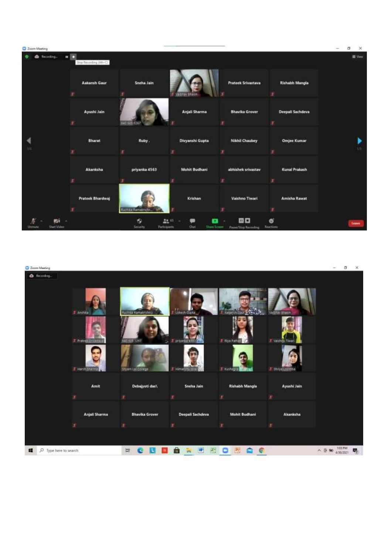

C Zoom Meeting  $0$   $\times$ C Recording. **WEITER**  $T$  Pres  $f$  Sin Pr **Letty**  $\pm$  Har a us  $1000$ Amit Debajyoti das\ Sneha Jain **Rishabh Mangla** Ayushi Jain ä Anjali Sharma **Bhavika Grover** Deepali Sachdeva Mohit Budhani Akanksha  $\sim 5 \, \text{m} \, \max_{\text{USU202}} \, \text{m}$ **HOBBARKOKAC** C Type here to search